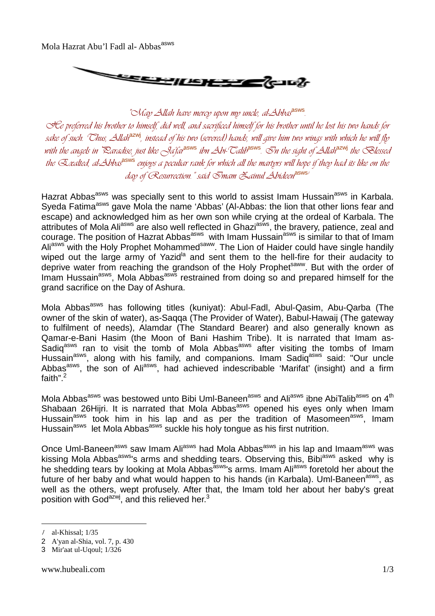Mola Hazrat Abu'l Fadl al-Abbas<sup>asws</sup>



*"May Allah have mercy upon my uncle, al-Abbas*asws *. He preferred his brother to himself, did well, and sacrificed himself for his brother until he lost his two hands for sake of such. Thus, Allah*azwj*, instead of his two (severed) hands, will give him two wings with which he will fly with the angels in Paradise, just like Ja'far*asws *ibn Abi-Talib*asws*. In the sight of Allah*azwj *the Blessed the Exalted, al-Abbas*asws *enjoys a peculiar rank for which all the martyrs will hope if they had its like on the day of Resurrection." said Imam Zainul Abideen*asws*<sup>1</sup>*

Hazrat Abbas<sup>asws</sup> was specially sent to this world to assist Imam Hussain<sup>asws</sup> in Karbala. Syeda Fatima<sup>asws</sup> gave Mola the name 'Abbas' (Al-Abbas: the lion that other lions fear and escape) and acknowledged him as her own son while crying at the ordeal of Karbala. The attributes of Mola Ali<sup>asws</sup> are also well reflected in Ghazi<sup>asws</sup>, the bravery, patience, zeal and courage. The position of Hazrat Abbas<sup>asws</sup> with Imam Hussain<sup>asws</sup> is similar to that of Imam Ali<sup>asws</sup> with the Holy Prophet Mohammed<sup>saww</sup>. The Lion of Haider could have single handily wiped out the large army of Yazid<sup>la</sup> and sent them to the hell-fire for their audacity to deprive water from reaching the grandson of the Holy Prophet<sup>saww</sup>. But with the order of Imam Hussain<sup>asws</sup>, Mola Abbas<sup>asws</sup> restrained from doing so and prepared himself for the grand sacrifice on the Day of Ashura.

Mola Abbas<sup>asws</sup> has following titles (kuniyat): Abul-Fadl, Abul-Qasim, Abu-Qarba (The owner of the skin of water), as-Saqqa (The Provider of Water), Babul-Hawaij (The gateway to fulfilment of needs), Alamdar (The Standard Bearer) and also generally known as Qamar-e-Bani Hasim (the Moon of Bani Hashim Tribe). It is narrated that Imam as-Sadiq<sup>asws</sup> ran to visit the tomb of Mola Abbas<sup>asws</sup> after visiting the tombs of Imam Hussain<sup>asws</sup>, along with his family, and companions. Imam Sadig<sup>asws</sup> said: "Our uncle Abbas<sup>asws</sup>, the son of Ali<sup>asws</sup>, had achieved indescribable 'Marifat' (insight) and a firm faith". $^2$ 

Mola Abbas<sup>asws</sup> was bestowed unto Bibi Uml-Baneen<sup>asws</sup> and Ali<sup>asws</sup> ibne AbiTalib<sup>asws</sup> on 4<sup>th</sup> Shabaan 26Hijri. It is narrated that Mola Abbas<sup>asws</sup> opened his eyes only when Imam Hussain<sup>asws</sup> took him in his lap and as per the tradition of Masomeen<sup>asws</sup>, Imam Hussain<sup>asws</sup> let Mola Abbas<sup>asws</sup> suckle his holy tongue as his first nutrition.

Once Uml-Baneen<sup>asws</sup> saw Imam Ali<sup>asws</sup> had Mola Abbas<sup>asws</sup> in his lap and Imaam<sup>asws</sup> was kissing Mola Abbas<sup>asws</sup>'s arms and shedding tears. Observing this, Bibi<sup>asws</sup> asked why is he shedding tears by looking at Mola Abbas<sup>asws</sup>'s arms. Imam Ali<sup>asws</sup> foretold her about the future of her baby and what would happen to his hands (in Karbala). Uml-Baneen<sup>asws</sup>, as well as the others, wept profusely. After that, the Imam told her about her baby's great position with God<sup>azwj</sup>, and this relieved her.<sup>3</sup>

 $\overline{a}$ 

*<sup>1</sup>* al-Khissal; 1/35

<sup>2</sup> A'yan al-Shia, vol. 7, p. 430

<sup>3</sup> Mir'aat ul-Uqoul; 1/326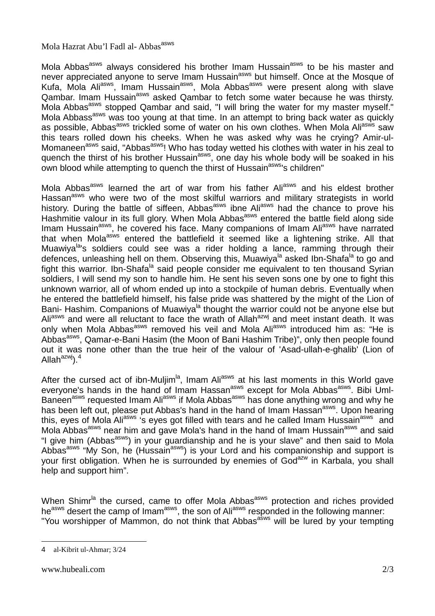## Mola Hazrat Abu'l Fadl al-Abbas<sup>asws</sup>

Mola Abbas<sup>asws</sup> always considered his brother Imam Hussain<sup>asws</sup> to be his master and never appreciated anyone to serve Imam Hussain<sup>asws</sup> but himself. Once at the Mosque of Kufa, Mola Ali<sup>asws</sup>, Imam Hussain<sup>asws</sup>, Mola Abbas<sup>asws</sup> were present along with slave Rala, wold fill in the community of the cambar to fetch some water because he was thirsty. Mola Abbas<sup>asws</sup> stopped Qambar and said, "I will bring the water for my master myself." Mola Abbass<sup>asws</sup> was too young at that time. In an attempt to bring back water as quickly as possible, Abbas<sup>asws</sup> trickled some of water on his own clothes. When Mola Ali<sup>asws</sup> saw this tears rolled down his cheeks. When he was asked why was he crying? Amir-ul-Momaneen<sup>asws</sup> said, "Abbas<sup>asws</sup>! Who has today wetted his clothes with water in his zeal to quench the thirst of his brother Hussain<sup>asws</sup>, one day his whole body will be soaked in his own blood while attempting to quench the thirst of Hussain<sup>asws</sup>'s children"

Mola Abbas<sup>asws</sup> learned the art of war from his father Ali<sup>asws</sup> and his eldest brother Hassan<sup>asws</sup> who were two of the most skilful warriors and military strategists in world history. During the battle of siffeen, Abbas<sup>asws</sup> ibne Ali<sup>asws</sup> had the chance to prove his Hashmitie valour in its full glory. When Mola Abbas<sup>asws</sup> entered the battle field along side Imam Hussain<sup>asws</sup>, he covered his face. Many companions of Imam Aliasws have narrated that when Mola<sup>asws</sup> entered the battlefield it seemed like a lightening strike. All that Muawiya<sup>la</sup>'s soldiers could see was a rider holding a lance, ramming through their defences, unleashing hell on them. Observing this, Muawiya<sup>la</sup> asked Ibn-Shafa<sup>la</sup> to go and fight this warrior. Ibn-Shafa<sup>la</sup> said people consider me equivalent to ten thousand Syrian soldiers, I will send my son to handle him. He sent his seven sons one by one to fight this unknown warrior, all of whom ended up into a stockpile of human debris. Eventually when he entered the battlefield himself, his false pride was shattered by the might of the Lion of Bani- Hashim. Companions of Muawiya<sup>la</sup> thought the warrior could not be anyone else but Ali<sup>asws</sup> and were all reluctant to face the wrath of Allah<sup>azwj</sup> and meet instant death. It was only when Mola Abbas<sup>asws</sup> removed his veil and Mola Ali<sup>asws</sup> introduced him as: "He is Abbas<sup>asws</sup>, Qamar-e-Bani Hasim (the Moon of Bani Hashim Tribe)", only then people found out it was none other than the true heir of the valour of 'Asad-ullah-e-ghalib' (Lion of Allah $a^{2}$ <sub>ky</sub> $\,1<sup>4</sup>$ 

After the cursed act of ibn-Muljim<sup>la</sup>, Imam Ali<sup>asws</sup> at his last moments in this World gave everyone's hands in the hand of Imam Hassan<sup>asws</sup> except for Mola Abbas<sup>asws</sup>. Bibi Uml-Baneen<sup>asws</sup> requested Imam Ali<sup>asws</sup> if Mola Abbas<sup>asws</sup> has done anything wrong and why he has been left out, please put Abbas's hand in the hand of Imam Hassan<sup>asws</sup>. Upon hearing this, eyes of Mola Ali<sup>asws</sup> 's eyes got filled with tears and he called Imam Hussain<sup>asws</sup> and Mola Abbas<sup>asws</sup> near him and gave Mola's hand in the hand of Imam Hussain<sup>asws</sup> and said "I give him (Abbas<sup>asws</sup>) in your guardianship and he is your slave" and then said to Mola Abbas<sup>asws</sup> "My Son, he (Hussain<sup>asws</sup>) is your Lord and his companionship and support is your first obligation. When he is surrounded by enemies of God<sup>azw</sup> in Karbala, you shall help and support him".

When Shimr<sup>la</sup> the cursed, came to offer Mola Abbas<sup>asws</sup> protection and riches provided he<sup>asws</sup> desert the camp of Imam<sup>asws</sup>, the son of Ali<sup>asws</sup> responded in the following manner: "You worshipper of Mammon, do not think that Abbas<sup>asws</sup> will be lured by your tempting

 $\overline{a}$ 4 al-Kibrit ul-Ahmar; 3/24